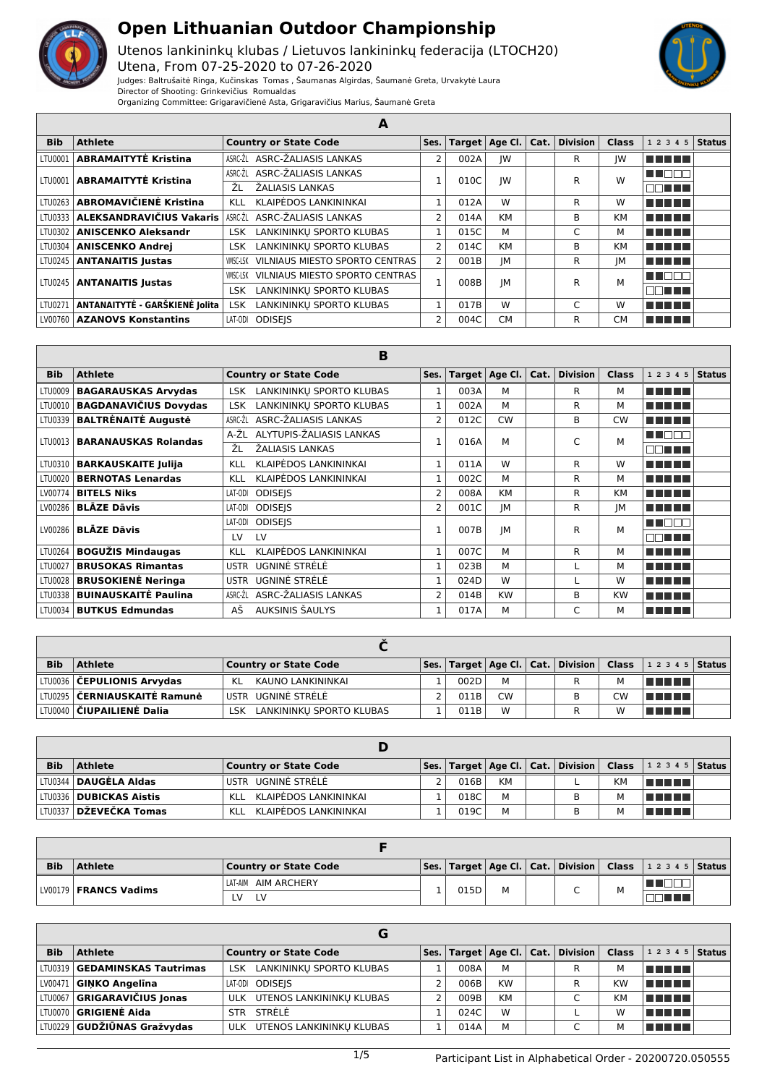

Utenos lankininkų klubas / Lietuvos lankininkų federacija (LTOCH20) Utena, From 07-25-2020 to 07-26-2020 Judges: Baltrušaitė Ringa, Kučinskas Tomas , Šaumanas Algirdas, Šaumanė Greta, Urvakytė Laura



Director of Shooting: Grinkevičius Romualdas

| Organizing Committee: Grigaravičienė Asta, Grigaravičius Marius, Šaumanė Greta |  |  |  |
|--------------------------------------------------------------------------------|--|--|--|
|--------------------------------------------------------------------------------|--|--|--|

|            | А                                  |                                            |                |      |                  |      |          |              |                |  |  |  |
|------------|------------------------------------|--------------------------------------------|----------------|------|------------------|------|----------|--------------|----------------|--|--|--|
| <b>Bib</b> | <b>Athlete</b>                     | <b>Country or State Code</b>               | Ses.           |      | Target   Age Cl. | Cat. | Division | <b>Class</b> | $12345$ Status |  |  |  |
| LTU0001    | <b>ABRAMAITYTĖ Kristina</b>        | ASRC-ŽALIASIS LANKAS<br>ASRC-ŽL            | $\overline{2}$ | 002A | IW               |      | R        | IW           |                |  |  |  |
|            | LTU0001   ABRAMAITYTĖ Kristina     | ASRC-ŽL ASRC-ŽALIASIS LANKAS               |                | 010C | IW               |      | R        | W            | u marti        |  |  |  |
|            |                                    | ŽΙ<br>ŽALIASIS LANKAS                      |                |      |                  |      |          |              | NN TILL        |  |  |  |
| LTU0263    | <b>ABROMAVIČIENĖ Kristina</b>      | KLAIPĖDOS LANKININKAI<br>KLL               | $\mathbf{1}$   | 012A | W                |      | R        | W            | T N N D U      |  |  |  |
|            | LTU0333   ALEKSANDRAVIČIUS Vakaris | ASRC-ŽALIASIS LANKAS<br>ASRC-ŽL            | 2              | 014A | <b>KM</b>        |      | B        | <b>KM</b>    | TI TITLE       |  |  |  |
| LTU0302    | <b>ANISCENKO Aleksandr</b>         | LANKININKU SPORTO KLUBAS<br><b>LSK</b>     | 1              | 015C | м                |      | C        | м            | T E E E        |  |  |  |
| LTU0304    | <b>ANISCENKO Andrei</b>            | LANKININKU SPORTO KLUBAS<br>LSK.           | 2              | 014C | KM               |      | B        | <b>KM</b>    | T FIFIT F      |  |  |  |
| LTU0245    | <b>ANTANAITIS Justas</b>           | VILNIAUS MIESTO SPORTO CENTRAS<br>VMSC-LSK | 2              | 001B | JM               |      | R        | IM           | T N D D U      |  |  |  |
|            | LTU0245   ANTANAITIS Justas        | VILNIAUS MIESTO SPORTO CENTRAS<br>VMSC-LSK |                | 008B | JМ               |      | R        | M            | l Indo         |  |  |  |
|            |                                    | LANKININKU SPORTO KLUBAS<br>LSK.           |                |      |                  |      |          |              | an mar         |  |  |  |
| LTU0271    | ANTANAITYTĖ - GARŠKIENĖ Jolita     | LANKININKU SPORTO KLUBAS<br><b>LSK</b>     |                | 017B | W                |      | C        | W            |                |  |  |  |
|            | LV00760   AZANOVS Konstantins      | LAT-ODI<br><b>ODISEIS</b>                  | 2              | 004C | <b>CM</b>        |      | R        | <b>CM</b>    | T T T T T      |  |  |  |

| B          |                              |                                        |                |      |                  |      |                 |              |                 |               |  |
|------------|------------------------------|----------------------------------------|----------------|------|------------------|------|-----------------|--------------|-----------------|---------------|--|
| <b>Bib</b> | <b>Athlete</b>               | <b>Country or State Code</b>           | Ses.           |      | Target   Age Cl. | Cat. | <b>Division</b> | <b>Class</b> | 1 2 3 4 5       | <b>Status</b> |  |
| LTU0009    | <b>BAGARAUSKAS Arvydas</b>   | LANKININKU SPORTO KLUBAS<br><b>LSK</b> | $\mathbf{1}$   | 003A | M                |      | R               | м            | MA MARIT        |               |  |
| LTU0010    | <b>BAGDANAVIČIUS Dovydas</b> | LANKININKU SPORTO KLUBAS<br><b>LSK</b> | $\mathbf{1}$   | 002A | М                |      | R               | М            | n din biri      |               |  |
| LTU0339    | <b>BALTRĖNAITĖ Augustė</b>   | ASRC-ŽL<br>ASRC-ŽALIASIS LANKAS        | 2              | 012C | <b>CW</b>        |      | B               | <b>CW</b>    | T FI FI FI      |               |  |
| LTU0013    | <b>BARANAUSKAS Rolandas</b>  | ALYTUPIS-ŽALIASIS LANKAS<br>A-ŽL       |                | 016A | M                |      | C               | М            | <b>TENTIFIC</b> |               |  |
|            |                              | ŽL<br>ŽALIASIS LANKAS                  |                |      |                  |      |                 |              | n din sa        |               |  |
| LTU0310    | <b>BARKAUSKAITE Julija</b>   | KLAIPĖDOS LANKININKAI<br>KLL           | $\mathbf{1}$   | 011A | W                |      | R               | W            | T FI FI FI      |               |  |
| LTU0020    | <b>BERNOTAS Lenardas</b>     | KLAIPĖDOS LANKININKAI<br><b>KLL</b>    | $\mathbf{1}$   | 002C | М                |      | R               | м            | T FI FI FI      |               |  |
| LV00774    | <b>BITELS Niks</b>           | <b>ODISEIS</b><br>LAT-ODI              | $\overline{2}$ | 008A | <b>KM</b>        |      | R               | <b>KM</b>    | n din bir       |               |  |
| LV00286    | <b>BLĀZE Dāvis</b>           | <b>ODISEIS</b><br>LAT-ODI              | $\overline{2}$ | 001C | JМ               |      | R               | JМ           | a di biblio     |               |  |
| LV00286    | <b>BLĀZE Dāvis</b>           | <b>ODISEIS</b><br>LAT-ODI              |                | 007B | IM               |      | R               | М            | TI NATI         |               |  |
|            |                              | LV<br>LV                               |                |      |                  |      |                 |              | TELELT          |               |  |
| LTU0264    | <b>BOGUŽIS Mindaugas</b>     | <b>KLAIPĖDOS LANKININKAI</b><br>KLL    | $\mathbf{1}$   | 007C | M                |      | R               | м            | n di Tinggi     |               |  |
| LTU0027    | <b>BRUSOKAS Rimantas</b>     | UGNINĖ STRĖLĖ<br><b>USTR</b>           | 1              | 023B | М                |      |                 | м            | a na mats       |               |  |
| LTU0028    | <b>BRUSOKIENĖ Neringa</b>    | UGNINĖ STRĖLĖ<br><b>USTR</b>           | 1              | 024D | W                |      |                 | W            | n di Tinggi     |               |  |
| LTU0338    | <b>BUINAUSKAITĖ Paulina</b>  | ASRC-ŽALIASIS LANKAS<br>ASRC-ŽL        | $\overline{2}$ | 014B | <b>KW</b>        |      | B               | <b>KW</b>    | a kata sa sa sa |               |  |
| LTU0034    | <b>BUTKUS Edmundas</b>       | AŠ<br>AUKSINIS ŠAULYS                  | $\mathbf{1}$   | 017A | М                |      | C               | м            | T FIFITI        |               |  |

| <b>Bib</b> | <b>Athlete</b>                        | <b>Country or State Code</b>    |      |           | Ses.   Target   Age Cl.   Cat.   Division   Class |           | 1 2 3 4 5   Status |  |
|------------|---------------------------------------|---------------------------------|------|-----------|---------------------------------------------------|-----------|--------------------|--|
|            | LTU0036 <b>  ČEPULIONIS Arvydas</b>   | KAUNO LANKININKAI<br>KL         | 002D | м         |                                                   | M         | TI TI TITL         |  |
|            | LTU0295 <b>  ČERNIAUSKAITĖ Ramunė</b> | USTR UGNINĖ STRĖLĖ              | 011B | <b>CW</b> |                                                   | <b>CW</b> | T FIFIT FI         |  |
|            | LTU0040 <b>  ČIUPAILIENĖ Dalia</b>    | LANKININKU SPORTO KLUBAS<br>LSK | 011B | W         |                                                   | W         | T DE L'IS          |  |

| <b>Bib</b> | Athlete                         | Country or State Code     |      |    | Ses.   Target   Age Cl.   Cat.   Division   Class |    | $12345$ Status |  |
|------------|---------------------------------|---------------------------|------|----|---------------------------------------------------|----|----------------|--|
|            | LTU0344 <b>  DAUGĖLA Aldas</b>  | 'USTR UGNINĖ STRĖLĖ       | 016B | KM |                                                   | KМ | l Timo Timo    |  |
|            | LTU0336   DUBICKAS Aistis       | KLL KLAIPĖDOS LANKININKAI | 018C | м  |                                                   |    | A EL EL EL     |  |
|            | LTV0337 <b>  DŽEVEČKA Tomas</b> | KLL KLAIPĖDOS LANKININKAI | 019C | м  | в                                                 |    | TI FIFTI       |  |

| <b>Bib</b> | Athlete                 | Country or State Code |      |   |  |   | Ses.   Target   Age Cl.   Cat.   Division   Class   1 2 3 4 5   Status |  |
|------------|-------------------------|-----------------------|------|---|--|---|------------------------------------------------------------------------|--|
|            | LV00179   FRANCS Vadims | LAT-AIM AIM ARCHERY   | 015D | M |  | M |                                                                        |  |
|            |                         | LV<br>∵V              |      |   |  |   |                                                                        |  |

|            |                                 | G                            |      |           |                                                               |              |                |  |
|------------|---------------------------------|------------------------------|------|-----------|---------------------------------------------------------------|--------------|----------------|--|
| <b>Bib</b> | <b>Athlete</b>                  | <b>Country or State Code</b> |      |           | $\mathsf{Ses}$ . Target   Age Cl. $\mathsf{Cat}$ .   Division | <b>Class</b> | $12345$ Status |  |
|            | LTU0319   GEDAMINSKAS Tautrimas | LSK LANKININKU SPORTO KLUBAS | 008A | М         | R                                                             | м            | n din bir      |  |
|            | LV00471   GINKO Angelina        | LAT-ODI ODISEIS              | 006B | <b>KW</b> | R                                                             | KW           | n din bir      |  |
|            | LTU0067 GRIGARAVIČIUS Jonas     | ULK UTENOS LANKININKU KLUBAS | 009B | <b>KM</b> | $\sqrt{2}$                                                    | KM           | T FIFITI       |  |
|            | LTU0070 GRIGIENĖ Aida           | STR STRELE                   | 024C | W         |                                                               | W            | TELET          |  |
|            | LTU0229 GUDŽIŪNAS Gražvydas     | ULK UTENOS LANKININKU KLUBAS | 014A | M         |                                                               | м            | TELEL          |  |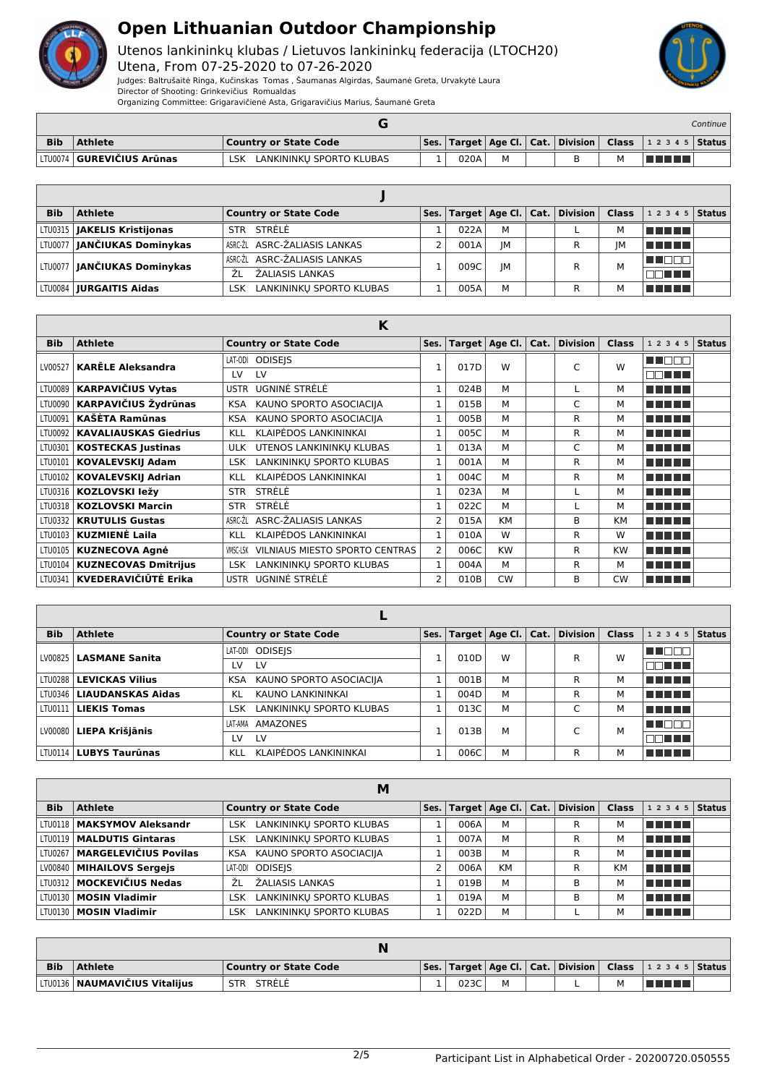

Utenos lankininkų klubas / Lietuvos lankininkų federacija (LTOCH20)

Utena, From 07-25-2020 to 07-26-2020 Judges: Baltrušaitė Ringa, Kučinskas Tomas , Šaumanas Algirdas, Šaumanė Greta, Urvakytė Laura Director of Shooting: Grinkevičius Romualdas

Organizing Committee: Grigaravičienė Asta, Grigaravičius Marius, Šaumanė Greta

|            |                                     |                                 |  |      |  |  |  | Continue |                                                                        |  |
|------------|-------------------------------------|---------------------------------|--|------|--|--|--|----------|------------------------------------------------------------------------|--|
| <b>Bib</b> | <b>Athlete</b>                      | <b>Country or State Code</b>    |  |      |  |  |  |          | Ses.   Target   Age Cl.   Cat.   Division   Class   1 2 3 4 5   Status |  |
|            | †LTU0074 <b>  GUREVIČIUS Arūnas</b> | LANKININKU SPORTO KLUBAS<br>LSK |  | 020A |  |  |  | м        | T FIT                                                                  |  |

| <b>Bib</b> | <b>Athlete</b>                     | <b>Country or State Code</b>    |      |    | Ses.   Target   Age Cl.   Cat.   Division   Class |    | $12345$ Status |  |
|------------|------------------------------------|---------------------------------|------|----|---------------------------------------------------|----|----------------|--|
|            | LTU0315   JAKELIS Kristijonas      | STR STRELE                      | 022A | M  |                                                   |    | T FIFIT F      |  |
|            | LTU0077   JANČIUKAS Dominykas      | ASRC-ŽL ASRC-ŽALIASIS LANKAS    | 001A | ΙM |                                                   | IM | TELET          |  |
|            |                                    | ASRC-ŽL ASRC-ŽALIASIS LANKAS    | 009C | IM |                                                   | м  | N NO W         |  |
|            | LTU0077 <b>JANČIUKAS Dominykas</b> | ŽΙ<br>ŽALIASIS LANKAS           |      |    |                                                   |    | 30 D D D       |  |
|            | LTU0084   <b>JURGAITIS Aidas</b>   | LANKININKU SPORTO KLUBAS<br>LSK | 005A | М  |                                                   |    | T FIFTI        |  |

|            |                              | K                                                 |                |      |                  |      |                 |              |                |               |
|------------|------------------------------|---------------------------------------------------|----------------|------|------------------|------|-----------------|--------------|----------------|---------------|
| <b>Bib</b> | <b>Athlete</b>               | <b>Country or State Code</b>                      | Ses.           |      | Target   Age Cl. | Cat. | <b>Division</b> | <b>Class</b> | 1 2 3 4 5      | <b>Status</b> |
| LV00527    | <b>KARĒLE Aleksandra</b>     | LAT-ODI ODISEIS                                   |                | 017D | W                |      | C               | W            | n na na n      |               |
|            |                              | LV<br>LV                                          |                |      |                  |      |                 |              | n di Titul     |               |
| LTU0089    | <b>KARPAVIČIUS Vytas</b>     | UGNINĖ STRĖLĖ<br><b>USTR</b>                      | 1              | 024B | M                |      |                 | м            | FI FI FI FI FI |               |
| LTU0090    | KARPAVIČIUS Žydrūnas         | KAUNO SPORTO ASOCIACIJA<br><b>KSA</b>             | 1              | 015B | м                |      | C               | м            | n din bin      |               |
| LTU0091    | <b>KAŠĖTA Ramūnas</b>        | KAUNO SPORTO ASOCIACIJA<br><b>KSA</b>             | $\mathbf{1}$   | 005B | м                |      | R               | м            | n din bin      |               |
| LTU0092    | <b>KAVALIAUSKAS Giedrius</b> | KLAIPĖDOS LANKININKAI<br><b>KLL</b>               | $\mathbf{1}$   | 005C | M                |      | R               | м            | n din bin      |               |
| LTU0301    | <b>KOSTECKAS Justinas</b>    | UTENOS LANKININKU KLUBAS<br><b>ULK</b>            | $\mathbf{1}$   | 013A | M                |      | C               | м            | n din bin      |               |
| LTU0101    | <b>KOVALEVSKIJ Adam</b>      | LANKININKU SPORTO KLUBAS<br>LSK.                  |                | 001A | M                |      | R               | м            | n din bin      |               |
| LTU0102    | <b>KOVALEVSKIJ Adrian</b>    | KLAIPĖDOS LANKININKAI<br><b>KLL</b>               | $\mathbf{1}$   | 004C | M                |      | R               | м            | n din bin      |               |
| LTU0316    | KOZLOVSKI ležy               | STRELE<br><b>STR</b>                              | $\mathbf{1}$   | 023A | м                |      |                 | м            | n na mats      |               |
| LTU0318    | <b>KOZLOVSKI Marcin</b>      | STRELE<br><b>STR</b>                              |                | 022C | м                |      |                 | м            | n na mara      |               |
| LTU0332    | <b>KRUTULIS Gustas</b>       | ASRC-ŽALIASIS LANKAS<br>ASRC-ŽL                   | $\overline{2}$ | 015A | <b>KM</b>        |      | B               | <b>KM</b>    | <b>THE LIT</b> |               |
| LTU0103    | KUZMIENĖ Laila               | KLAIPĖDOS LANKININKAI<br><b>KLL</b>               | $\mathbf{1}$   | 010A | W                |      | R               | W            | n din bin      |               |
| LTU0105    | <b>KUZNECOVA Agnè</b>        | <b>VILNIAUS MIESTO SPORTO CENTRAS</b><br>VMSC-LSK | 2              | 006C | <b>KW</b>        |      | R               | <b>KW</b>    | n din bir      |               |
| LTU0104    | <b>KUZNECOVAS Dmitrijus</b>  | LANKININKŲ SPORTO KLUBAS<br><b>LSK</b>            | $\mathbf{1}$   | 004A | M                |      | R               | м            | n na mata      |               |
| LTU0341    | KVEDERAVIČIŪTĖ Erika         | UGNINE STRELE<br><b>USTR</b>                      | $\overline{2}$ | 010B | <b>CW</b>        |      | <sub>B</sub>    | <b>CW</b>    | n din bin      |               |

| <b>Bib</b> | <b>Athlete</b>            | <b>Country or State Code</b>          | Ses. |      |   |  | Target   Age Cl.   Cat.   Division | <b>Class</b> | $12345$ Status |  |
|------------|---------------------------|---------------------------------------|------|------|---|--|------------------------------------|--------------|----------------|--|
| LV00825    | <b>LASMANE Sanita</b>     | LAT-ODI ODISEIS                       |      | 010D | W |  | R                                  | W            | T E E L        |  |
|            |                           | <b>LV</b><br>LV                       |      |      |   |  |                                    |              | nn nn n        |  |
|            | LTU0288   LEVICKAS Vilius | KAUNO SPORTO ASOCIACIJA<br><b>KSA</b> |      | 001B | M |  | R                                  | м            | T FIFITI       |  |
| LTU0346    | LIAUDANSKAS Aidas         | KAUNO LANKININKAI<br>KL               |      | 004D | M |  | R                                  | м            | n na mats      |  |
| LTU0111    | <b>LIEKIS Tomas</b>       | LANKININKU SPORTO KLUBAS<br>LSK       |      | 013C | м |  | ⌒                                  | м            | T FIFIT T      |  |
|            |                           | AMAZONES<br>I AT-AMA                  |      | 013B | M |  |                                    | M            | MA DE S        |  |
| LV00080    | LIEPA Krišjānis           | <b>LV</b><br>I V                      |      |      |   |  |                                    |              | T FIFT         |  |
|            | LTU0114   LUBYS Taurūnas  | KLAIPĖDOS LANKININKAI<br><b>KLL</b>   |      | 006C | M |  | R                                  | м            | TE ELET        |  |

|            |                                        | М                                      |                |      |           |                                    |           |                |  |
|------------|----------------------------------------|----------------------------------------|----------------|------|-----------|------------------------------------|-----------|----------------|--|
| <b>Bib</b> | <b>Athlete</b>                         | <b>Country or State Code</b>           | Ses.           |      |           | Target   Age Cl.   Cat.   Division | Class     | $12345$ Status |  |
|            | LTU0118   MAKSYMOV Aleksandr           | LANKININKU SPORTO KLUBAS<br><b>LSK</b> |                | 006A | M         | R                                  | м         | an an a        |  |
|            | LTU0119   MALDUTIS Gintaras            | LANKININKU SPORTO KLUBAS<br>LSK.       |                | 007A | M         | R                                  | м         | a da birn      |  |
|            | LTU0267   <b>MARGELEVIČIUS Povilas</b> | KSA KAUNO SPORTO ASOCIACIJA            |                | 003B | M         | R                                  | м         | MA MATA        |  |
|            | LV00840   MIHAILOVS Sergejs            | LAT-ODI ODISEIS                        | $\overline{2}$ | 006A | <b>KM</b> | R                                  | <b>KM</b> | ma mata        |  |
|            | LTU0312   MOCKEVIČIUS Nedas            | ŽALIASIS LANKAS<br>ŻΙ                  |                | 019B | M         | в                                  | м         | n na mats      |  |
|            | LTU0130   MOSIN Vladimir               | LANKININKU SPORTO KLUBAS<br><b>LSK</b> |                | 019A | M         | B                                  | м         | T FIFTIT       |  |
|            | LTU0130   MOSIN Vladimir               | LANKININKU SPORTO KLUBAS<br><b>LSK</b> |                | 022D | M         |                                    | м         | n na mats      |  |

| <b>Bib</b> | Athlete                                | <b>Country or State Code</b> |      |  |  | $\vert$ Ses. $\vert$ Target $\vert$ Age Cl. $\vert$ Cat. $\vert$ Division $\vert$ Class $\vert$ 1 2 3 4 5 $\vert$ Status $\vert$ |  |
|------------|----------------------------------------|------------------------------|------|--|--|----------------------------------------------------------------------------------------------------------------------------------|--|
|            | LTU0136   <b>NAUMAVIČIUS Vitalijus</b> | STRÉLÉ<br><b>STR</b>         | 023C |  |  |                                                                                                                                  |  |



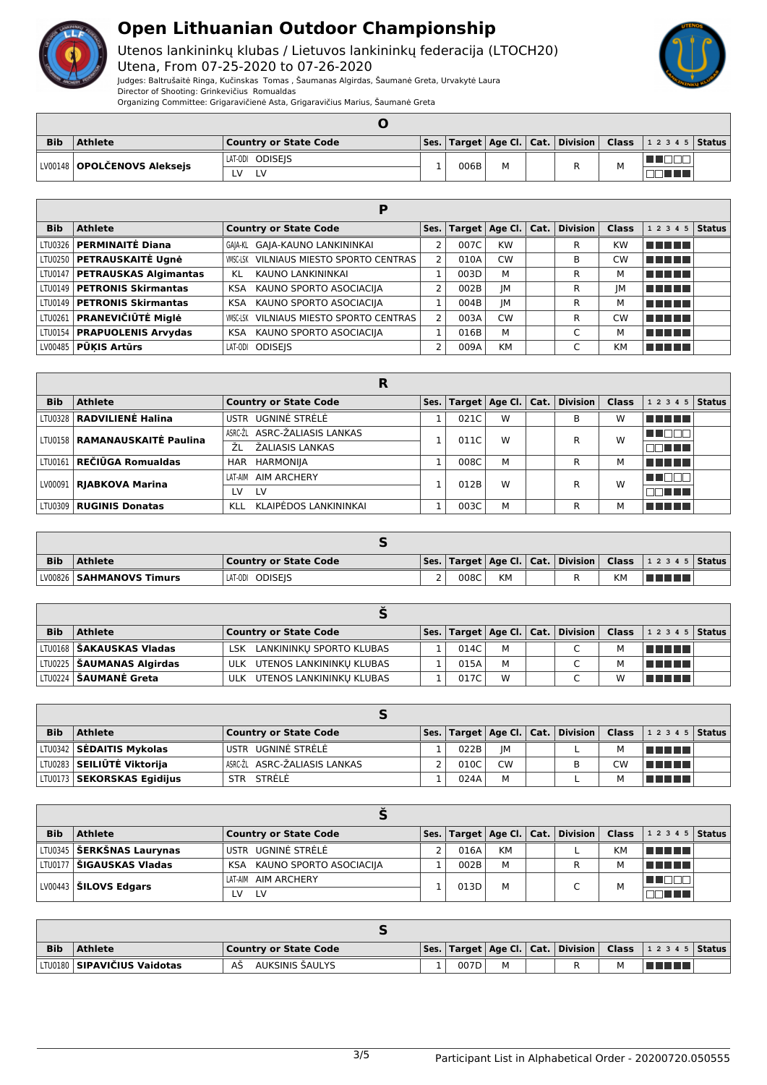

Utenos lankininkų klubas / Lietuvos lankininkų federacija (LTOCH20) Utena, From 07-25-2020 to 07-26-2020



Judges: Baltrušaitė Ringa, Kučinskas Tomas , Šaumanas Algirdas, Šaumanė Greta, Urvakytė Laura Director of Shooting: Grinkevičius Romualdas

Organizing Committee: Grigaravičienė Asta, Grigaravičius Marius, Šaumanė Greta

| <b>Bib</b> | Athlete                       | <b>Country or State Code</b> |      |  |   | Ses.   Target   Age Cl.   Cat.   Division   Class   1 2 3 4 5   Status |  |
|------------|-------------------------------|------------------------------|------|--|---|------------------------------------------------------------------------|--|
|            | LV00148   OPOLČENOVS Aleksejs | LAT-ODI ODISEIS              | 006B |  | м |                                                                        |  |
|            |                               | LV<br>I V                    |      |  |   |                                                                        |  |

| <b>Bib</b> | <b>Athlete</b>                    | <b>Country or State Code</b>               |              |      |           |  | Ses.   Target   Age Cl.   Cat.   Division | <b>Class</b> | $12345$ Status |  |  |
|------------|-----------------------------------|--------------------------------------------|--------------|------|-----------|--|-------------------------------------------|--------------|----------------|--|--|
|            | LTU0326   PERMINAITĖ Diana        | GAIA-KL GAIA-KAUNO LANKININKAI             |              | 007C | <b>KW</b> |  | R                                         | KW           | T FIFTER       |  |  |
|            | LTU0250   PETRAUSKAITĖ Ugnė       | VILNIAUS MIESTO SPORTO CENTRAS<br>VMSC-LSK |              | 010A | <b>CW</b> |  | B                                         | CW           | TELET          |  |  |
|            | LTU0147   PETRAUSKAS Algimantas   | KAUNO LANKININKAI<br>KL                    |              | 003D | М         |  | R                                         | м            | n din bin      |  |  |
|            | LTU0149   PETRONIS Skirmantas     | KAUNO SPORTO ASOCIACIJA<br>KSA             |              | 002B | IM        |  | R                                         | IM           | THEFT          |  |  |
|            | LTU0149   PETRONIS Skirmantas     | KAUNO SPORTO ASOCIACIJA<br>KSA.            |              | 004B | IM        |  | R                                         | м            | ma mata        |  |  |
|            | LTU0261 <b>PRANEVIČIŪTĖ Miglė</b> | VILNIAUS MIESTO SPORTO CENTRAS<br>VMSC-LSK | <sup>-</sup> | 003A | <b>CW</b> |  | R                                         | <b>CW</b>    | n din No       |  |  |
|            | LTU0154   PRAPUOLENIS Arvydas     | KAUNO SPORTO ASOCIACIJA<br>KSA.            |              | 016B | M         |  | $\overline{ }$                            | м            | T FIFTER       |  |  |
|            | $LV00485$ PUKIS Artūrs            | LAT-ODI ODISEIS                            | C.           | 009A | <b>KM</b> |  |                                           | <b>KM</b>    | n din Film     |  |  |

|            |                                        | R                            |      |      |   |                                              |              |                        |
|------------|----------------------------------------|------------------------------|------|------|---|----------------------------------------------|--------------|------------------------|
| <b>Bib</b> | <b>Athlete</b>                         | <b>Country or State Code</b> | Ses. |      |   | Target $ $ Age Cl. $ $ Cat. $ $ Division $ $ | <b>Class</b> | $1\ 2\ 3\ 4\ 5$ Status |
|            | LTV0328   RADVILIENĖ Halina            | USTR UGNINĖ STRĖLĖ           |      | 021C | W | В                                            | w            | TE ELE                 |
|            | LTV0158   <b>RAMANAUSKAITĖ Paulina</b> | ASRC-ŽL ASRC-ŽALIASIS LANKAS |      | 011C | W | R                                            | W            | HE LILI                |
|            |                                        | ŽΙ<br>ŽALIASIS LANKAS        |      |      |   |                                              |              | TELEL                  |
|            | LTV0161 <b>  REČIŪGA Romualdas</b>     | HAR HARMONIJA                |      | 008C | M | R                                            | М            | n din b                |
|            | LV00091   RJABKOVA Marina              | AIM ARCHERY<br>I AT-AIM      |      | 012B | W | R                                            | W            |                        |
|            |                                        | <b>LV</b><br>LV              |      |      |   |                                              |              | T FILMER               |
|            | LTV0309   RUGINIS Donatas              | KLAIPĖDOS LANKININKAI<br>KLL |      | 003C | M | R                                            | м            | <u> Film</u>           |

| <b>Bib</b> | <b>Athlete</b>           | <b>Country or State Code</b> |          |      |           |  |    | Ses.   Target   Age Cl.   Cat.   Division   Class   1 2 3 4 5   Status |  |
|------------|--------------------------|------------------------------|----------|------|-----------|--|----|------------------------------------------------------------------------|--|
|            | LV00826 SAHMANOVS Timurs | LAT-ODI ODISEIS              | <u>.</u> | 008C | <b>KM</b> |  | KМ | l Titul Titul                                                          |  |

| <b>Bib</b> | <b>Athlete</b>                     | <b>Country or State Code</b> |      |   | Ses.   Target   Age Cl.   Cat.   Division   Class |   | $ 12345 $ Status |  |
|------------|------------------------------------|------------------------------|------|---|---------------------------------------------------|---|------------------|--|
|            | LTU0168 <b>  ŠAKAUSKAS Vladas</b>  | LSK LANKININKU SPORTO KLUBAS | 014C | м |                                                   | M | T FI FI FI       |  |
|            | LTU0225   <b>ŠAUMANAS Algirdas</b> | ULK UTENOS LANKININKU KLUBAS | 015A | M |                                                   | M | T FIFIT FI       |  |
|            | LTU0224   ŠAUMANĖ Greta            | ULK UTENOS LANKININKU KLUBAS | 017C | W |                                                   | W | TELET            |  |

| <b>Bib</b> | <b>Athlete</b>                      | <b>Country or State Code</b> |      |           |   |    | $ \mathsf{Ses.} \mathsf{Target} \mathsf{Age}\mathsf{Cl.} \mathsf{Cat.} \mathsf{Division} \mathsf{Class} \mathsf{12345} $ |  |
|------------|-------------------------------------|------------------------------|------|-----------|---|----|--------------------------------------------------------------------------------------------------------------------------|--|
|            | LTU0342 SĖDAITIS Mykolas            | USTR UGNINĖ STRĖLĖ           | 022B | IM        |   |    | n din bir                                                                                                                |  |
|            | LTV0283 <b>  SEILIŪTĖ Viktorija</b> | ASRC-ŽL ASRC-ŽALIASIS LANKAS | 010C | <b>CW</b> | в | CW | n din bir                                                                                                                |  |
|            | LTU0173   SEKORSKAS Egidijus        | STR STRELE                   | 024A | M         |   |    | an di B                                                                                                                  |  |

| <b>Bib</b> | <b>Athlete</b>                        | <b>Country or State Code</b> |      |           | Ses.   Target   Age Cl.   Cat.   Division |           | <b>Class</b> $ 12345 $ Status |  |
|------------|---------------------------------------|------------------------------|------|-----------|-------------------------------------------|-----------|-------------------------------|--|
|            | LTU0345   ŠERKŠNAS Laurynas           | USTR UGNINĖ STRĖLĖ           | 016A | <b>KM</b> |                                           | <b>KM</b> | <u>in Finns</u>               |  |
|            | LTU0177   ŠIGAUSKAS Vladas            | KSA KAUNO SPORTO ASOCIACIJA  | 002B | М         |                                           | м         | a shekara                     |  |
|            | $\vert$ LV00443 $\vert$ ŠILOVS Edgars | LAT-AIM AIM ARCHERY          | 013D | M         |                                           | м         |                               |  |
|            |                                       | LV.<br>LV                    |      |           |                                           |           | 70 O O                        |  |

| <b>Bib</b> | Athlete                              | <b>Country or State Code</b> |      |   |  |   | Ses.   Target   Age Cl.   Cat.   Division   Class   1 2 3 4 5   Status |  |
|------------|--------------------------------------|------------------------------|------|---|--|---|------------------------------------------------------------------------|--|
|            | LTU0180   <b>SIPAVIČIUS Vaidotas</b> | AUKSINIS ŠAULYS<br>AS        | 007D | м |  | м | a katika T                                                             |  |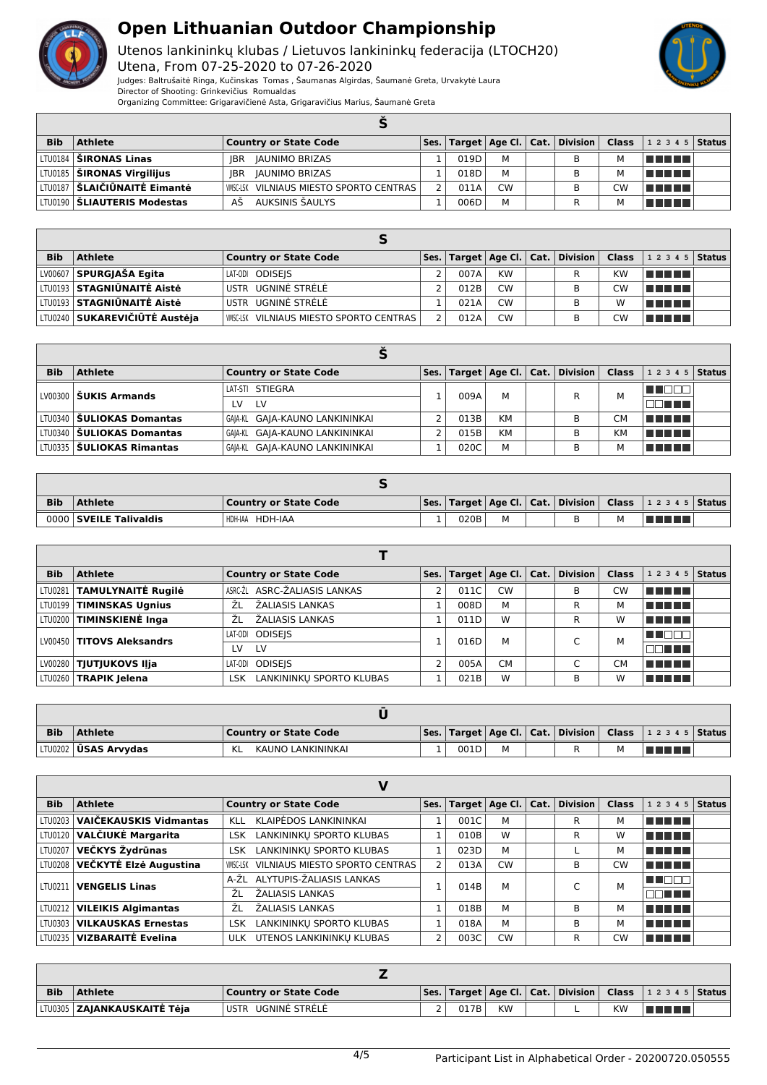

Utenos lankininkų klubas / Lietuvos lankininkų federacija (LTOCH20) Utena, From 07-25-2020 to 07-26-2020



Judges: Baltrušaitė Ringa, Kučinskas Tomas , Šaumanas Algirdas, Šaumanė Greta, Urvakytė Laura Director of Shooting: Grinkevičius Romualdas Organizing Committee: Grigaravičienė Asta, Grigaravičius Marius, Šaumanė Greta

| <b>Bib</b> | <b>Athlete</b>                      | <b>Country or State Code</b>                   |  |      |           |  |  |    | Ses.   Target   Age Cl.   Cat.   Division   Class   1 2 3 4 5   Status |  |  |
|------------|-------------------------------------|------------------------------------------------|--|------|-----------|--|--|----|------------------------------------------------------------------------|--|--|
|            | LTU0184 <b>  ŠIRONAS Linas</b>      | <b>IBR</b><br>JAUNIMO BRIZAS                   |  | 019D | м         |  |  | м  | TI TITLE                                                               |  |  |
|            | LTU0185 <b>  ŠIRONAS Virgilijus</b> | <b>JAUNIMO BRIZAS</b><br><b>IBR</b>            |  | 018D | М         |  |  | м  | n din se                                                               |  |  |
|            | LTU0187 SLAIČIŪNAITĖ Eimantė        | <b>WISC-LSK VILNIAUS MIESTO SPORTO CENTRAS</b> |  | 011A | <b>CW</b> |  |  | CW | n na mats                                                              |  |  |
|            | LTU0190   ŠLIAUTERIS Modestas       | AUKSINIS ŠAULYS<br>AS                          |  | 006D | М         |  |  |    | T DE L'IS                                                              |  |  |

| <b>Bib</b> | Athlete                                | <b>Country or State Code</b>            |      |           | Ses.   Target   Age Cl.   Cat.   Division   Class |    | $12345$ Status |  |
|------------|----------------------------------------|-----------------------------------------|------|-----------|---------------------------------------------------|----|----------------|--|
|            | LV00607 SPURGJAŠA Egita                | LAT-ODI ODISEIS                         | 007A | <b>KW</b> |                                                   | KW | l man mar      |  |
|            | LTU0193 <b>  STAGNIŪNAITĖ Aistė</b>    | USTR UGNINĖ STRĖLĖ                      | 012B | <b>CW</b> | в                                                 | CW | l se se se s   |  |
|            | LTU0193 <b>  STAGNIŪNAITĖ Aistė</b>    | USTR UGNINĖ STRĖLĖ                      | 021A | <b>CW</b> | B                                                 | w  | n din bir      |  |
|            | LTV0240 <b>  SUKAREVIČIŪTĖ Austėja</b> | WISC-LSK VILNIAUS MIESTO SPORTO CENTRAS | 012A | <b>CW</b> | в                                                 | СW | a da ba        |  |

| <b>Bib</b> | <b>Athlete</b>                     | <b>Country or State Code</b>   |  | Ses.   Target   Age Cl.   Cat. |           |  | $\mid$ Division $\mid$ | <b>Class</b> | $12345$ Status    |  |  |
|------------|------------------------------------|--------------------------------|--|--------------------------------|-----------|--|------------------------|--------------|-------------------|--|--|
|            | LV00300 <b>ŠUKIS Armands</b>       | LAT-STI STIEGRA                |  | 009A                           | м         |  | R                      | м            | ______            |  |  |
|            |                                    | <b>LV</b><br>LV                |  |                                |           |  |                        |              | MM TITL           |  |  |
|            | LTV0340 <b>  ŠULIOKAS Domantas</b> | GAIA-KL GAIA-KAUNO LANKININKAI |  | 013B                           | <b>KM</b> |  | В                      | CM           | l Titolin Titolin |  |  |
|            | LTV0340 <b>  ŠULIOKAS Domantas</b> | GAIA-KL GAIA-KAUNO LANKININKAI |  | 015B                           | <b>KM</b> |  | В                      | KM           | l Titolin Titolin |  |  |
|            | LTV0335 <b>  ŠULIOKAS Rimantas</b> | GAIA-KL GAIA-KAUNO LANKININKAI |  | 020C                           | М         |  | в                      | м            | TITI TITI         |  |  |

| <b>Bib</b> | Athlete                | Country or State Code |  |      |   |  |  |   | Ses.   Target   Age Cl.   Cat.   Division   Class   1 2 3 4 5   Status |  |
|------------|------------------------|-----------------------|--|------|---|--|--|---|------------------------------------------------------------------------|--|
|            | 0000 SVEILE Talivaldis | HDH-IAA HDH-IAA       |  | 020B | M |  |  | м |                                                                        |  |

| <b>Bib</b> | <b>Athlete</b>                   |     | <b>Country or State Code</b> |      |      |           |                | Ses.   Target   Age Cl.   Cat.   Division | <b>Class</b> | $12345$ Status |  |  |
|------------|----------------------------------|-----|------------------------------|------|------|-----------|----------------|-------------------------------------------|--------------|----------------|--|--|
|            | LTU0281   TAMULYNAITĖ Rugilė     |     | ASRC-ŽL ASRC-ŽALIASIS LANKAS |      | 011C | <b>CW</b> |                | в                                         | <b>CW</b>    | T F F F F      |  |  |
|            | LTU0199   TIMINSKAS Ugnius       | ŹL  | ŽALIASIS LANKAS              |      | 008D | M         |                | R                                         | м            | TELEL          |  |  |
|            | LTU0200   TIMINSKIENĖ Inga       | ŻΙ  | ŽALIASIS LANKAS              |      | 011D | W         |                | R                                         | w            | T 11 11 11 11  |  |  |
|            | LV00450 <b>TITOVS Aleksandrs</b> |     | LAT-ODI ODISEIS              | 016D | М    |           | $\overline{ }$ | M                                         | THEEL        |                |  |  |
|            |                                  | LV  | <b>LV</b>                    |      |      |           |                |                                           |              | TE FIT         |  |  |
|            | LV00280   TJUTJUKOVS Ilja        |     | LAT-ODI ODISEIS              |      | 005A | <b>CM</b> |                | $\overline{ }$                            | CМ           | TELELT         |  |  |
|            | LTU0260   TRAPIK Jelena          | LSK | LANKININKU SPORTO KLUBAS     |      | 021B | W         |                | в                                         | w            | TE DE L        |  |  |

| <b>Bib</b> | Athlete                       | Country or State Code   |  |      |  |  |  |  | $\vert$ Ses. $\vert$ Target $\vert$ Age Cl. $\vert$ Cat. $\vert$ Division $\vert$ Class $\vert$ 1 2 3 4 5 $\vert$ Status $\vert$ |  |  |
|------------|-------------------------------|-------------------------|--|------|--|--|--|--|----------------------------------------------------------------------------------------------------------------------------------|--|--|
|            | LTU0202 <b>  ŪSAS Arvydas</b> | KAUNO LANKININKAI<br>KL |  | 001D |  |  |  |  | <u> Tanzania de la pro</u>                                                                                                       |  |  |

| <b>Bib</b> | <b>Athlete</b>                       | <b>Country or State Code</b>               | Ses.          |      |           |  | Target   Age Cl.   Cat.   Division | <b>Class</b> | $12345$ Status |  |
|------------|--------------------------------------|--------------------------------------------|---------------|------|-----------|--|------------------------------------|--------------|----------------|--|
| LTU0203    | VAIČEKAUSKIS Vidmantas               | KLAIPĖDOS LANKININKAI<br><b>KLL</b>        |               | 001C | м         |  | R                                  | м            | TE E E E       |  |
|            | LTU0120 VALČIUKĖ Margarita           | LANKININKU SPORTO KLUBAS<br><b>LSK</b>     |               | 010B | W         |  | R                                  | W            | TE E E E       |  |
|            | LTU0207 <b>VEČKYS Žydrūnas</b>       | LSK LANKININKŲ SPORTO KLUBAS               |               | 023D | М         |  |                                    | м            | T T T T T T    |  |
|            | LTU0208 VEČKYTĖ Elzė Augustina       | VILNIAUS MIESTO SPORTO CENTRAS<br>VMSC-LSK | $\mathcal{P}$ | 013A | <b>CW</b> |  | В                                  | <b>CW</b>    | TERRET         |  |
|            | LTU0211   VENGELIS Linas             | A-ŽL ALYTUPIS-ŽALIASIS LANKAS              |               | 014B | M         |  |                                    | M            | TI DEL         |  |
|            |                                      | ŽALIASIS LANKAS<br>ŽΙ                      |               |      |           |  |                                    |              | TELEL          |  |
|            | LTU0212   VILEIKIS Algimantas        | ŽALIASIS LANKAS<br>ŽL                      |               | 018B | M         |  | В                                  | м            | T E E E E      |  |
|            | LTU0303   <b>VILKAUSKAS Ernestas</b> | LANKININKU SPORTO KLUBAS<br>LSK I          |               | 018A | M         |  | В                                  | м            | TE ELECT       |  |
|            | LTU0235   <b>VIZBARAITĖ Evelina</b>  | ULK UTENOS LANKININKU KLUBAS               |               | 003C | <b>CW</b> |  | R                                  | <b>CW</b>    | T FI FI FI FI  |  |

| <b>Bib</b> | <b>Athlete</b>                         | Country or State Code |  |      |           |  |  |           | Ses.   Target   Age Cl.   Cat.   Division   Class   1 2 3 4 5   Status |  |
|------------|----------------------------------------|-----------------------|--|------|-----------|--|--|-----------|------------------------------------------------------------------------|--|
|            | ' LTU0305 <b>  ZAJANKAUSKAITĖ Tėja</b> | USTR UGNINĖ STRĖLĖ    |  | 017B | <b>KW</b> |  |  | <b>KW</b> | <u> Tanzania de la pro</u>                                             |  |